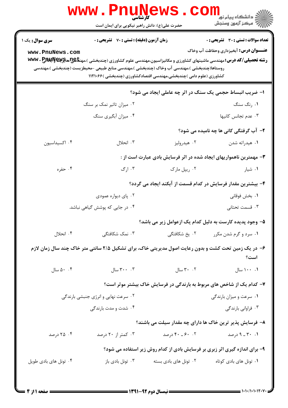| <b>WWW</b>                        | کار شناسے<br>حضرت علی(ع): دانش راهبر نیکویی برای ایمان است |                                                                                                                                                                  | ڪ دانشڪاه پيام نور<br><mark>√</mark> مرڪز آزمون وسنڊش                                                                             |
|-----------------------------------|------------------------------------------------------------|------------------------------------------------------------------------------------------------------------------------------------------------------------------|-----------------------------------------------------------------------------------------------------------------------------------|
| <b>سری سوال :</b> یک ۱            | زمان آزمون (دقیقه) : تستی : 70 گشریحی : 0                  |                                                                                                                                                                  | <b>تعداد سوالات : تستي : 30 ٪ تشريحي : 0</b>                                                                                      |
| www.PnuNews.com                   |                                                            |                                                                                                                                                                  | <b>عنـــوان درس:</b> آبخیزداری وحفاظت آب وخاک                                                                                     |
|                                   |                                                            |                                                                                                                                                                  | <b>رشته تحصیلی/کد درس:</b> مهندسی ماشینهای کشاورزی و مکانیزاسیون،مهندسی علوم کشاورزی (چندبخشی )،مهن <del>تا @U</del> NG و WWW . P |
|                                   |                                                            | روستاها(چندبخشی )،مهندسی آب وخاک (چندبخشی )،مهندسی منابع طبیعی –محیطزیست (چندبخشی )،مهندسی<br>کشاورزی (علوم دامی )چندبخشی،مهندسی اقتصادکشاورزی (چندبخشی )۱۱۲۱۰۶۶ |                                                                                                                                   |
|                                   |                                                            |                                                                                                                                                                  |                                                                                                                                   |
|                                   |                                                            | ا- ضریب انبساط حجمی یک سنگ در اثر چه عاملی ایجاد می شود؟                                                                                                         |                                                                                                                                   |
|                                   | ۰۲ میزان تاثیر نمک بر سنگ                                  |                                                                                                                                                                  | ۰۱ رنگ سنگ                                                                                                                        |
|                                   | ۰۴ میزان آبگیری سنگ                                        |                                                                                                                                                                  | ٠٣ عدم تجانس كانيها                                                                                                               |
|                                   |                                                            |                                                                                                                                                                  | ۲- آب گرفتگی کانی ها چه نامیده می شود؟                                                                                            |
| ۰۴ اکسیداسیون                     | ۰۳ انحلال                                                  | ۰۲ هیدرولیز                                                                                                                                                      | ۰۱ هیدراته شدن                                                                                                                    |
|                                   |                                                            |                                                                                                                                                                  | ۳- مهمترین ناهمواریهای ایجاد شده در اثر فرسایش بادی عبارت است از :                                                                |
| ۰۴ حفره                           | ۰۳ ارگ                                                     | ۰۲ ریپل مارک                                                                                                                                                     | ۰۱ شیار                                                                                                                           |
|                                   |                                                            |                                                                                                                                                                  | ۴– بیشترین مقدار فرسایش در کدام قسمت از آبکند ایجاد می گردد؟                                                                      |
|                                   | ۰۲ پای دیواره عمودی                                        |                                                                                                                                                                  | ۰۱ بخش فوقانی                                                                                                                     |
|                                   | ۰۴ در جایی که پوشش گیاهی نباشد.                            |                                                                                                                                                                  | ۰۳ قسمت تحتانی                                                                                                                    |
|                                   |                                                            |                                                                                                                                                                  | ۵– وجود پدیده کارست به دلیل کدام یک ازعوامل زیر می باشد؟                                                                          |
| ۰۴ انحلال                         | ۰۳ نمک شکافتگی                                             | ۰۲ یخ شکافتگی                                                                                                                                                    | ۰۱ سرد و گرم شدن مکرر                                                                                                             |
|                                   |                                                            |                                                                                                                                                                  | ۶– در یک زمین تحت کشت و بدون رعایت اصول مدیریتی خاک، برای تشکیل ۲/۵ سانتی متر خاک چند سال زمان لازم<br>است؟                       |
| $\Delta \cdot \cdot \cdot$ ۵۰ سال | ۰۰ ۳۰۰ سال                                                 | ۰۲ سال                                                                                                                                                           | ۰. ۱۰۰ سال                                                                                                                        |
|                                   |                                                            |                                                                                                                                                                  | ۷- کدام یک از شاخص های مربوط به بارندگی در فرسایش خاک بیشتر موثر است؟                                                             |
|                                   | ۰۲ سرعت نهایی و انرژی جنبشی بارندگی                        |                                                                                                                                                                  | ۰۱ سرعت و میزان بارندگی                                                                                                           |
|                                   | ۰۴ شدت و مدت بارندگی                                       |                                                                                                                                                                  | ۰۳ فراوانی بارندگی                                                                                                                |
|                                   |                                                            |                                                                                                                                                                  | ۸– فرسایش پذیر ترین خاک ها دارای چه مقدار سیلت می باشند؟                                                                          |
| ۰۴ درصد                           | ۰۳ کمتر از ۲۰ درصد                                         | ۰۲ -۶۰ - ۴۰ درصد                                                                                                                                                 | ۰۱ ۳۰ ـ ۹ درصد                                                                                                                    |
|                                   |                                                            |                                                                                                                                                                  | ۹- برای اندازه گیری اثر زبری بر فرسایش بادی از کدام روش زیر استفاده می شود؟                                                       |
| ۰۴ تونل های بادی طویل             | ۰۳ تونل بادی باز                                           | ۰۲ تونل های بادی بسته                                                                                                                                            | ۰۱ تونل های بادی کوتاه                                                                                                            |
|                                   |                                                            |                                                                                                                                                                  |                                                                                                                                   |

 $: 1.1.11.117$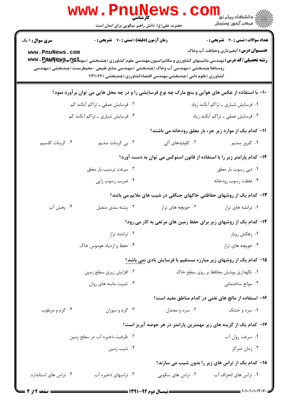|                                                                         | <b>WWW</b><br>کار شناسی<br>حضرت علی(ع): دانش راهبر نیکویی برای ایمان است |                                                                                                                                                                                                                                                                                                                          | ڪ دانشڪاه پيام نور<br><mark>√</mark> مرڪز آزمون وسنڊش |  |
|-------------------------------------------------------------------------|--------------------------------------------------------------------------|--------------------------------------------------------------------------------------------------------------------------------------------------------------------------------------------------------------------------------------------------------------------------------------------------------------------------|-------------------------------------------------------|--|
| <b>سری سوال :</b> ۱ یک                                                  | زمان آزمون (دقیقه) : تستی : 70 گشریحی : 0                                |                                                                                                                                                                                                                                                                                                                          | <b>تعداد سوالات : تستی : 30 ٪ تشریحی : 0</b>          |  |
| www.PnuNews.com                                                         |                                                                          | <b>رشته تحصیلی/کد درس:</b> مهندسی ماشینهای کشاورزی و مکانیزاسیون،مهندسی علوم کشاورزی (چندبخشی )،مهن <del>تا Q</del> یچ <del>، هایپ آو WW</del> v . P<br>روستاها(چندبخشی )،مهندسی آب وخاک (چندبخشی )،مهندسی منابع طبیعی -محیطزیست (چندبخشی )،مهندسی<br>کشاورزی (علوم دامی )چندبخشی،مهندسی اقتصادکشاورزی (چندبخشی )۱۱۲۱۰۶۶ | <b>عنـــوان درس:</b> آبخیزداری وحفاظت آب وخاک         |  |
|                                                                         |                                                                          | +۱- با استفاده از عکس های هوایی و بنچ مارک چه نوع فرسایشی را و در چه محل هایی می توان برآورد نمود؟                                                                                                                                                                                                                       |                                                       |  |
| ۰۲ فرسایش عمقی ــ تراکم آبکند کم                                        |                                                                          | ۰۱ فرسایش شیاری ـ تراکم آبکند زیاد                                                                                                                                                                                                                                                                                       |                                                       |  |
|                                                                         | ۰۴ فرسایش شیاری ـ تراکم آبکند کم                                         | ۰۳ فرسایش عمقی ـ تراکم آبکند زیاد                                                                                                                                                                                                                                                                                        |                                                       |  |
|                                                                         |                                                                          | 11- کدام یک از موارد زیر جزء بار معلق رودخانه می باشند؟                                                                                                                                                                                                                                                                  |                                                       |  |
| ۰۴ کربنات کلسیم                                                         | ۰۳ بی کربنات سدیم                                                        | ۰۲ کلوئیدهای آلی                                                                                                                                                                                                                                                                                                         | ۰۱ کلرور سدیم                                         |  |
| ۱۲– کدام پارامتر زیر را با استفاده از قانون استوکس می توان به دست آورد؟ |                                                                          |                                                                                                                                                                                                                                                                                                                          |                                                       |  |
|                                                                         | ۰۲ سرعت ترسیب بار معلق                                                   |                                                                                                                                                                                                                                                                                                                          | ۰۱ دبی رسوب بار معلق                                  |  |
|                                                                         | ۰۴ ضریب رسوب زایی                                                        |                                                                                                                                                                                                                                                                                                                          | ۰۳ غلظت رسوب رودخانه                                  |  |
|                                                                         |                                                                          | ۱۳- کدام یک از روشهای حفاظتی خاکهای جنگلی در شیب های ملایم می باشد؟                                                                                                                                                                                                                                                      |                                                       |  |
| ۰۴ پخش آب                                                               | ۰۳ پشته بندی متصل                                                        | ۰۲ جویچه های تراز                                                                                                                                                                                                                                                                                                        | ۰۱ ترانشه های تراز                                    |  |
|                                                                         |                                                                          | ۱۴- کدام یک از روشهای زیر برای حفظ زمین های مرتعی به کار می رود؟                                                                                                                                                                                                                                                         |                                                       |  |
| ۰۲ ترانشه تراز                                                          |                                                                          |                                                                                                                                                                                                                                                                                                                          | ۰۱ زهکش روباز                                         |  |
| ۰۴ حفظ و ازدياد هوموس خاک                                               |                                                                          |                                                                                                                                                                                                                                                                                                                          | ۰۳ جویچه های تراز                                     |  |
|                                                                         |                                                                          | ۱۵– کدام یک از روشهای زیر مبارزه مستقیم با فرسایش بادی <u>نمی</u> باشد؟                                                                                                                                                                                                                                                  |                                                       |  |
| ۰۲ افزایش زبری سطح زمین                                                 |                                                                          |                                                                                                                                                                                                                                                                                                                          | ۰۱ نگهداری پوشش محافظ بر روی سطح خاک                  |  |
|                                                                         | ۰۴ تثبیت ماسه های روان                                                   |                                                                                                                                                                                                                                                                                                                          | ۰۳ موانع ساختمانی                                     |  |
|                                                                         |                                                                          | ۱۶– استفاده از مالچ های نفتی در کدام مناطق مفید است؟                                                                                                                                                                                                                                                                     |                                                       |  |
| ۰۴ گرم و مرطوب                                                          | ۰۳ گرم و سوزان                                                           | ۰۲ سرد و معتدل                                                                                                                                                                                                                                                                                                           | ۰۱ سرد و خشک                                          |  |
|                                                                         |                                                                          | ۱۷– کدام یک از گزینه های زیر مهمترین پارامتر در هر حوضه آبریز است؟                                                                                                                                                                                                                                                       |                                                       |  |
|                                                                         | ۰۲ ظرفیت ذخیره آب در سطح زمین                                            |                                                                                                                                                                                                                                                                                                                          | ٠١ سرعت روان آب                                       |  |
|                                                                         | ۰۴ شیب زمین                                                              |                                                                                                                                                                                                                                                                                                                          | ۰۳ زمان تمرکز                                         |  |
|                                                                         |                                                                          |                                                                                                                                                                                                                                                                                                                          | 1۸- کدام یک از تراس های زیر را بدون شیب می سازند؟     |  |
| ۰۴ تراس های استاندارد                                                   | ۰۳ تراسهای ذخیره آب                                                      | ۰۲ تراس های سکویی                                                                                                                                                                                                                                                                                                        | ٠١ تراس هاى انحراف آب                                 |  |
| $\mathcal{L}$ if is $\sim$                                              |                                                                          | $\frac{1}{2}$ $\frac{1}{2}$ $\frac{1}{2}$ $\frac{1}{2}$ $\frac{1}{2}$ $\frac{1}{2}$ $\frac{1}{2}$ $\frac{1}{2}$ $\frac{1}{2}$ $\frac{1}{2}$ $\frac{1}{2}$ $\frac{1}{2}$ $\frac{1}{2}$ $\frac{1}{2}$ $\frac{1}{2}$ $\frac{1}{2}$ $\frac{1}{2}$ $\frac{1}{2}$ $\frac{1}{2}$ $\frac{1}{2}$ $\frac{1}{2}$ $\frac{1}{2}$      | $\equiv$ $\cdots$ $\cdots$                            |  |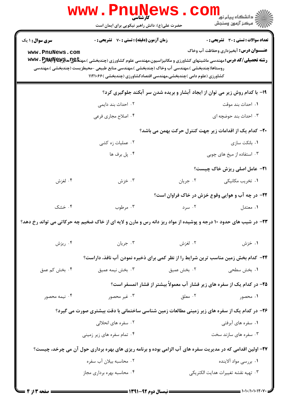|                                                                                                                                                                                                                                                                                                       | حضرت علی(ع): دانش راهبر نیکویی برای ایمان است                                                                    |             | ڪ دانشڪاه پيا <sub>م</sub> نور<br>۾ سرڪز آزمون وسنجش                                          |  |  |
|-------------------------------------------------------------------------------------------------------------------------------------------------------------------------------------------------------------------------------------------------------------------------------------------------------|------------------------------------------------------------------------------------------------------------------|-------------|-----------------------------------------------------------------------------------------------|--|--|
| <b>سری سوال :</b> ۱ یک<br>www.PnuNews.com                                                                                                                                                                                                                                                             | <b>زمان آزمون (دقیقه) : تستی : 70 گشریحی : 0</b>                                                                 |             | <b>تعداد سوالات : تستی : 30 ٪ تشریحی : 0</b><br><b>عنـــوان درس:</b> آبخیزداری وحفاظت آب وخاک |  |  |
| <b>رشته تحصیلی/کد درس:</b> مهندسی ماشینهای کشاورزی و مکانیزاسیون،مهندسی علوم کشاورزی (چندبخشی )،مهن <del>تا @U</del> NG و WWV . P<br>روستاها(چندبخشی )،مهندسی آب وخاک (چندبخشی )،مهندسی منابع طبیعی -محیطزیست (چندبخشی )،مهندسی<br>کشاورزی (علوم دامی )چندبخشی،مهندسی اقتصادکشاورزی (چندبخشی )۱۱۲۱۰۶۶ |                                                                                                                  |             |                                                                                               |  |  |
|                                                                                                                                                                                                                                                                                                       |                                                                                                                  |             | ۱۹- با کدام روش زیر می توان از ایجاد آبشار و بریده شدن سر آبکند جلوگیری کرد؟                  |  |  |
|                                                                                                                                                                                                                                                                                                       | ۰۲ احداث بند دایمی                                                                                               |             | ٠١. احداث بند موقت                                                                            |  |  |
|                                                                                                                                                                                                                                                                                                       | ۰۴ اصلاح مجاری فرعی                                                                                              |             | ۰۳ احداث بند حوضچه ای                                                                         |  |  |
| +۲- کدام یک از اقدامات زیر جهت کنترل حرکت بهمن می باشد؟                                                                                                                                                                                                                                               |                                                                                                                  |             |                                                                                               |  |  |
|                                                                                                                                                                                                                                                                                                       | ۰۲ عملیات زه کشی                                                                                                 |             | ۰۱ بانکت سازی                                                                                 |  |  |
|                                                                                                                                                                                                                                                                                                       | ۰۴ پل برف ها                                                                                                     |             | ۰۳ استفاده از میخ های چوبی                                                                    |  |  |
|                                                                                                                                                                                                                                                                                                       |                                                                                                                  |             | <b>۲۱</b> - عامل اصلی ریزش خاک چیست؟                                                          |  |  |
| ۰۴ لغزش                                                                                                                                                                                                                                                                                               | ۰۳ خزش                                                                                                           | ۰۲ جريان    | ۰۱ تخریب مکانیکی                                                                              |  |  |
|                                                                                                                                                                                                                                                                                                       |                                                                                                                  |             | ۲۲- در چه آب و هوایی وقوع خزش در خاک فراوان است؟                                              |  |  |
| ۰۴ خشک                                                                                                                                                                                                                                                                                                | ۰۳ مرطوب                                                                                                         | ۰۲ سرد      | ۰۱ معتدل                                                                                      |  |  |
|                                                                                                                                                                                                                                                                                                       | ۲۳- در شیب های حدود ۱۰ درجه و پوشیده از مواد ریز دانه رس و مارن و لایه ای از خاک ضخیم چه حرکاتی می تواند رخ دهد؟ |             |                                                                                               |  |  |
| ۰۴ ریزش                                                                                                                                                                                                                                                                                               | ۰۳ جريان                                                                                                         | ۰۲ لغزش     | ۰۱ خزش                                                                                        |  |  |
|                                                                                                                                                                                                                                                                                                       |                                                                                                                  |             | <b>۲۴</b> - کدام بخش زمین مناسب ترین شرایط را از نظر کمی برای ذخیره نمودن آب نافذ، داراست؟    |  |  |
| ۰۴ بخش کم عمق                                                                                                                                                                                                                                                                                         | ۰۳ بخش نیمه عمیق                                                                                                 | ۰۲ بخش عمیق | ۰۱ بخش سطحی                                                                                   |  |  |
|                                                                                                                                                                                                                                                                                                       |                                                                                                                  |             | ۲۵- در کدام یک از سفره های زیر فشار آب معمولاً بیشتر از فشار اتمسفر است؟                      |  |  |
| ۰۴ نیمه محصور                                                                                                                                                                                                                                                                                         | ۰۳ غیر محصور                                                                                                     | ۰۲ معلق     | ۰۱ محصور                                                                                      |  |  |
| ۲۶- در کدام یک از سفره های زیر زمینی مطالعات زمین شناسی ساختمانی با دقت بیشتری صورت می گیرد؟                                                                                                                                                                                                          |                                                                                                                  |             |                                                                                               |  |  |
|                                                                                                                                                                                                                                                                                                       | ۰۲ سفره های انحلالی                                                                                              |             | ۰۱ سفره های آبرفتی                                                                            |  |  |
|                                                                                                                                                                                                                                                                                                       | ۰۴ تمام سفره های زیر زمینی                                                                                       |             | ۰۳ سفره های سازند سخت                                                                         |  |  |
|                                                                                                                                                                                                                                                                                                       | ۲۷- اولین اقدامی که در مدیریت سفره های آب الزامی بوده و برنامه ریزی های بهره برداری حول آن می چرخد، چیست؟        |             |                                                                                               |  |  |
|                                                                                                                                                                                                                                                                                                       | ٢. محاسبه بيلان آب سفره                                                                                          |             | ۰۱ بررسی مواد آلاینده                                                                         |  |  |
|                                                                                                                                                                                                                                                                                                       | ۰۴ محاسبه بهره برداری مجاز                                                                                       |             | ۰۳ تهيه نقشه تغييرات هدايت الكتريكي                                                           |  |  |